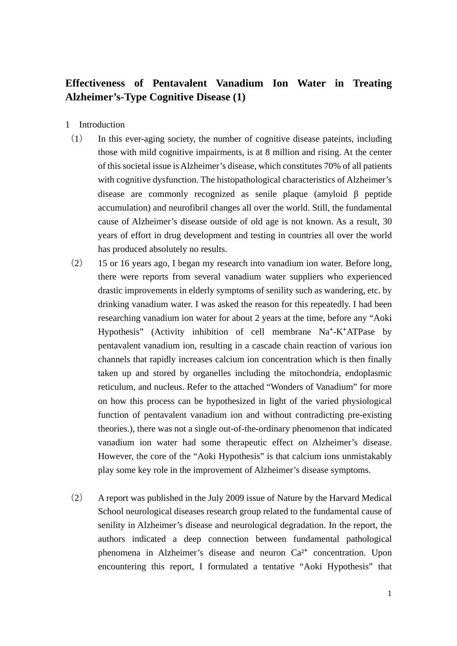## **Effectiveness of Pentavalent Vanadium Ion Water in Treating Alzheimer's-Type Cognitive Disease (1)**

- 1 Introduction
- (1) In this ever-aging society, the number of cognitive disease pateints, including those with mild cognitive impairments, is at 8 million and rising. At the center of this societal issue is Alzheimer's disease, which constitutes 70% of all patients with cognitive dysfunction. The histopathological characteristics of Alzheimer's disease are commonly recognized as senile plaque (amyloid β peptide accumulation) and neurofibril changes all over the world. Still, the fundamental cause of Alzheimer's disease outside of old age is not known. As a result, 30 years of effort in drug development and testing in countries all over the world has produced absolutely no results.
- (2) 15 or 16 years ago, I began my research into vanadium ion water. Before long, there were reports from several vanadium water suppliers who experienced drastic improvements in elderly symptoms of senility such as wandering, etc. by drinking vanadium water. I was asked the reason for this repeatedly. I had been researching vanadium ion water for about 2 years at the time, before any "Aoki Hypothesis" (Activity inhibition of cell membrane  $Na^+ - K^+ATP$ ase by pentavalent vanadium ion, resulting in a cascade chain reaction of various ion channels that rapidly increases calcium ion concentration which is then finally taken up and stored by organelles including the mitochondria, endoplasmic reticulum, and nucleus. Refer to the attached "Wonders of Vanadium" for more on how this process can be hypothesized in light of the varied physiological function of pentavalent vanadium ion and without contradicting pre-existing theories.), there was not a single out-of-the-ordinary phenomenon that indicated vanadium ion water had some therapeutic effect on Alzheimer's disease. However, the core of the "Aoki Hypothesis" is that calcium ions unmistakably play some key role in the improvement of Alzheimer's disease symptoms.
- (2) A report was published in the July 2009 issue of Nature by the Harvard Medical School neurological diseases research group related to the fundamental cause of senility in Alzheimer's disease and neurological degradation. In the report, the authors indicated a deep connection between fundamental pathological phenomena in Alzheimer's disease and neuron  $Ca<sup>2+</sup>$  concentration. Upon encountering this report, I formulated a tentative "Aoki Hypothesis" that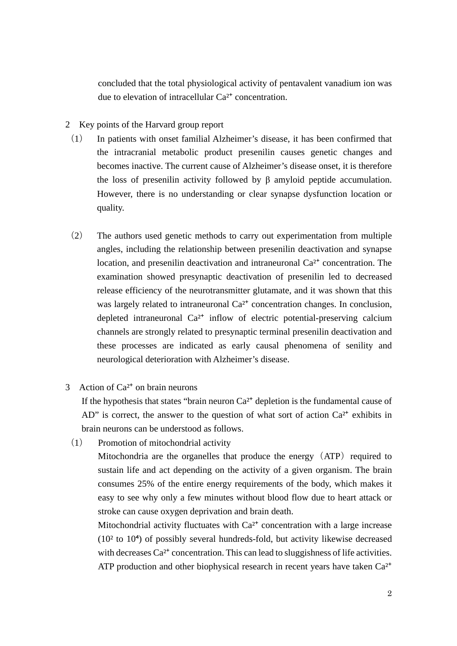concluded that the total physiological activity of pentavalent vanadium ion was due to elevation of intracellular  $Ca<sup>2+</sup>$  concentration.

- 2 Key points of the Harvard group report
	- (1) In patients with onset familial Alzheimer's disease, it has been confirmed that the intracranial metabolic product presenilin causes genetic changes and becomes inactive. The current cause of Alzheimer's disease onset, it is therefore the loss of presenilin activity followed by  $\beta$  amyloid peptide accumulation. However, there is no understanding or clear synapse dysfunction location or quality.
	- (2) The authors used genetic methods to carry out experimentation from multiple angles, including the relationship between presenilin deactivation and synapse location, and presenilin deactivation and intraneuronal  $Ca<sup>2+</sup>$  concentration. The examination showed presynaptic deactivation of presenilin led to decreased release efficiency of the neurotransmitter glutamate, and it was shown that this was largely related to intraneuronal  $Ca<sup>2+</sup>$  concentration changes. In conclusion, depleted intraneuronal  $Ca<sup>2+</sup>$  inflow of electric potential-preserving calcium channels are strongly related to presynaptic terminal presenilin deactivation and these processes are indicated as early causal phenomena of senility and neurological deterioration with Alzheimer's disease.
- 3 Action of  $Ca<sup>2+</sup>$  on brain neurons

If the hypothesis that states "brain neuron  $Ca<sup>2+</sup>$  depletion is the fundamental cause of AD" is correct, the answer to the question of what sort of action  $Ca^{2+}$  exhibits in brain neurons can be understood as follows.

(1) Promotion of mitochondrial activity

Mitochondria are the organelles that produce the energy  $(ATP)$  required to sustain life and act depending on the activity of a given organism. The brain consumes 25% of the entire energy requirements of the body, which makes it easy to see why only a few minutes without blood flow due to heart attack or stroke can cause oxygen deprivation and brain death.

Mitochondrial activity fluctuates with  $Ca<sup>2+</sup>$  concentration with a large increase  $(10<sup>2</sup>$  to  $10<sup>4</sup>)$  of possibly several hundreds-fold, but activity likewise decreased with decreases  $Ca^{2+}$  concentration. This can lead to sluggishness of life activities. ATP production and other biophysical research in recent years have taken  $Ca<sup>2+</sup>$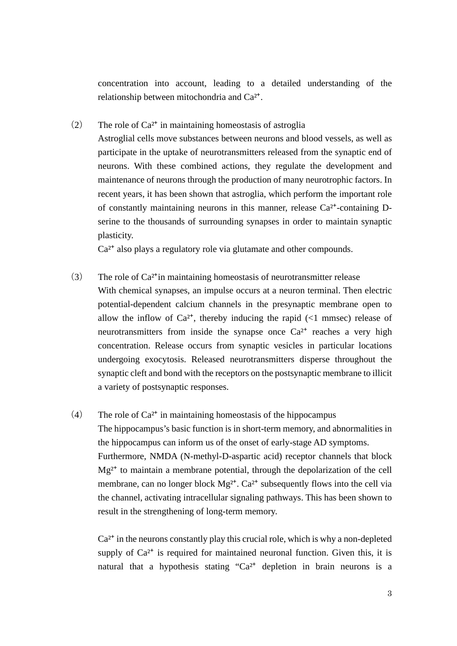concentration into account, leading to a detailed understanding of the relationship between mitochondria and Ca<sup>2+</sup>.

(2) The role of  $Ca^{2+}$  in maintaining homeostasis of astroglia

Astroglial cells move substances between neurons and blood vessels, as well as participate in the uptake of neurotransmitters released from the synaptic end of neurons. With these combined actions, they regulate the development and maintenance of neurons through the production of many neurotrophic factors. In recent years, it has been shown that astroglia, which perform the important role of constantly maintaining neurons in this manner, release  $Ca<sup>2+</sup>$ -containing Dserine to the thousands of surrounding synapses in order to maintain synaptic plasticity.

Ca<sup>2+</sup> also plays a regulatory role via glutamate and other compounds.

- (3) The role of  $Ca^{2+}$ in maintaining homeostasis of neurotransmitter release With chemical synapses, an impulse occurs at a neuron terminal. Then electric potential-dependent calcium channels in the presynaptic membrane open to allow the inflow of  $Ca^{2+}$ , thereby inducing the rapid (<1 mmsec) release of neurotransmitters from inside the synapse once  $Ca^{2+}$  reaches a very high concentration. Release occurs from synaptic vesicles in particular locations undergoing exocytosis. Released neurotransmitters disperse throughout the synaptic cleft and bond with the receptors on the postsynaptic membrane to illicit a variety of postsynaptic responses.
- (4) The role of  $Ca^{2+}$  in maintaining homeostasis of the hippocampus The hippocampus's basic function is in short-term memory, and abnormalities in the hippocampus can inform us of the onset of early-stage AD symptoms. Furthermore, NMDA (N-methyl-D-aspartic acid) receptor channels that block  $Mg^{2+}$  to maintain a membrane potential, through the depolarization of the cell membrane, can no longer block  $Mg^{2+}$ . Ca<sup>2+</sup> subsequently flows into the cell via the channel, activating intracellular signaling pathways. This has been shown to result in the strengthening of long-term memory.

 $Ca<sup>2+</sup>$  in the neurons constantly play this crucial role, which is why a non-depleted supply of  $Ca^{2+}$  is required for maintained neuronal function. Given this, it is natural that a hypothesis stating " $Ca^{2+}$  depletion in brain neurons is a